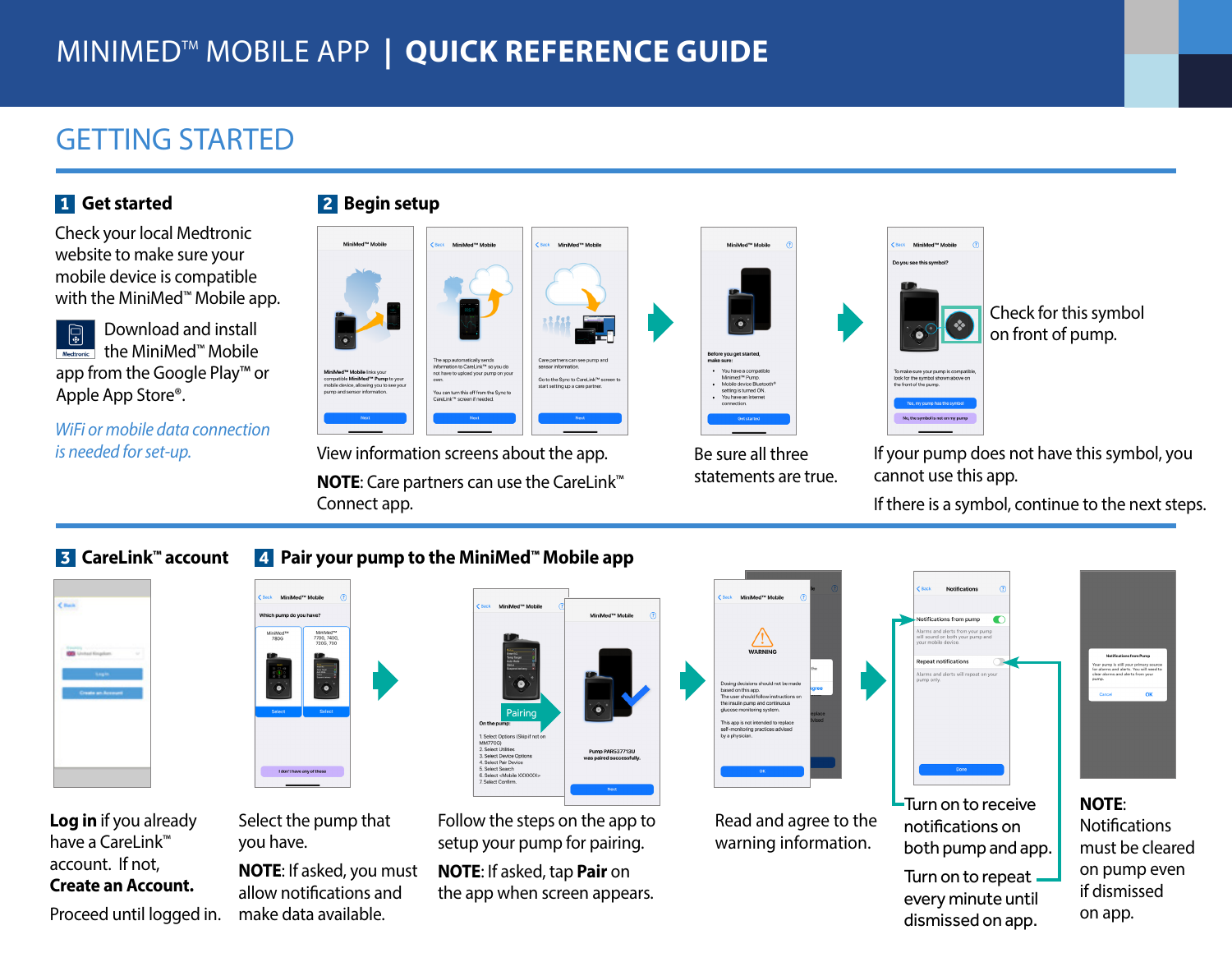# MINIMEDTM MOBILE APP **| QUICK REFERENCE GUIDE**

### GETTING STARTED

#### **1 Get started**

Check your local Medtronic website to make sure your mobile device is compatible with the MiniMed™ Mobile app.

Download and install  $\bigcirc$ the MiniMed™ Mobile Medtronic app from the Google Play™ or Apple App Store®.

*WiFi or mobile data connection is needed for set-up.*





View information screens about the app. **NOTE**: Care partners can use the CareLink™ Connect app.



Be sure all three statements are true. Check for this symbol on front of pump.

If your pump does not have this symbol, you cannot use this app.

To make sure your pump is compati<mark>t</mark><br>look for the symbol shown above on<br>the front of the pump.

If there is a symbol, continue to the next steps.

#### **3 CareLink™ account 4 Pair your pump to the MiniMed™ Mobile app**



**Log in** if you already have a CareLink™ account. If not, **Create an Account.** 

Proceed until logged in.



Select the pump that you have.

**NOTE**: If asked, you must allow notifications and make data available.



Follow the steps on the app to setup your pump for pairing.

**NOTE**: If asked, tap **Pair** on the app when screen appears.



Read and agree to the warning information.



Turn on to repeat every minute until dismissed on app.

must be cleared on pump even if dismissed on app.